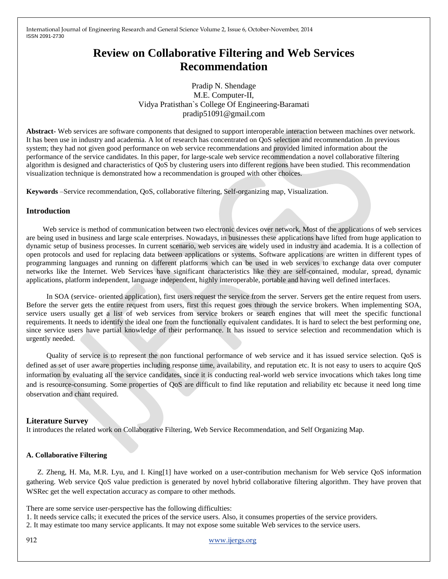# **Review on Collaborative Filtering and Web Services Recommendation**

Pradip N. Shendage M.E. Computer-II, Vidya Pratisthan`s College Of Engineering-Baramati pradip51091@gmail.com

**Abstract-** Web services are software components that designed to support interoperable interaction between machines over network. It has been use in industry and academia. A lot of research has concentrated on QoS selection and recommendation .In previous system; they had not given good performance on web service recommendations and provided limited information about the performance of the service candidates. In this paper, for large-scale web service recommendation a novel collaborative filtering algorithm is designed and characteristics of QoS by clustering users into different regions have been studied. This recommendation visualization technique is demonstrated how a recommendation is grouped with other choices.

**Keywords** –Service recommendation, QoS, collaborative filtering, Self-organizing map, Visualization.

### **Introduction**

 Web service is method of communication between two electronic devices over network. Most of the applications of web services are being used in business and large scale enterprises. Nowadays, in businesses these applications have lifted from huge application to dynamic setup of business processes. In current scenario, web services are widely used in industry and academia. It is a collection of open protocols and used for replacing data between applications or systems. Software applications are written in different types of programming languages and running on different platforms which can be used in web services to exchange data over computer networks like the Internet. Web Services have significant characteristics like they are self-contained, modular, spread, dynamic applications, platform independent, language independent, highly interoperable, portable and having well defined interfaces.

 In SOA (service- oriented application), first users request the service from the server. Servers get the entire request from users. Before the server gets the entire request from users, first this request goes through the service brokers. When implementing SOA, service users usually get a list of web services from service brokers or search engines that will meet the specific functional requirements. It needs to identify the ideal one from the functionally equivalent candidates. It is hard to select the best performing one, since service users have partial knowledge of their performance. It has issued to service selection and recommendation which is urgently needed.

 Quality of service is to represent the non functional performance of web service and it has issued service selection. QoS is defined as set of user aware properties including response time, availability, and reputation etc. It is not easy to users to acquire QoS information by evaluating all the service candidates, since it is conducting real-world web service invocations which takes long time and is resource-consuming. Some properties of QoS are difficult to find like reputation and reliability etc because it need long time observation and chant required.

### **Literature Survey**

It introduces the related work on Collaborative Filtering, Web Service Recommendation, and Self Organizing Map.

### **A. Collaborative Filtering**

Z. Zheng, H. Ma, M.R. Lyu, and I. King[1] have worked on a user-contribution mechanism for Web service QoS information gathering. Web service QoS value prediction is generated by novel hybrid collaborative filtering algorithm. They have proven that WSRec get the well expectation accuracy as compare to other methods*.*

There are some service user-perspective has the following difficulties:

1. It needs service calls; it executed the prices of the service users. Also, it consumes properties of the service providers.

2. It may estimate too many service applicants. It may not expose some suitable Web services to the service users.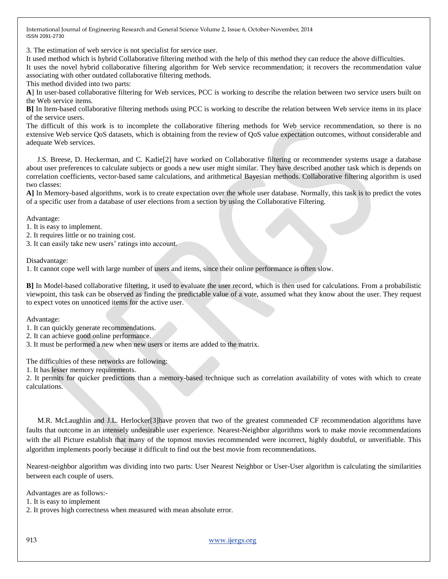3. The estimation of web service is not specialist for service user.

It used method which is hybrid Collaborative filtering method with the help of this method they can reduce the above difficulties. It uses the novel hybrid collaborative filtering algorithm for Web service recommendation; it recovers the recommendation value associating with other outdated collaborative filtering methods.

This method divided into two parts:

**A**] In user-based collaborative filtering for Web services, PCC is working to describe the relation between two service users built on the Web service items.

**B]** In Item-based collaborative filtering methods using PCC is working to describe the relation between Web service items in its place of the service users.

The difficult of this work is to incomplete the collaborative filtering methods for Web service recommendation, so there is no extensive Web service QoS datasets, which is obtaining from the review of QoS value expectation outcomes, without considerable and adequate Web services.

 J.S. Breese, D. Heckerman, and C. Kadie[2] have worked on Collaborative filtering or recommender systems usage a database about user preferences to calculate subjects or goods a new user might similar. They have described another task which is depends on correlation coefficients, vector-based same calculations, and arithmetical Bayesian methods. Collaborative filtering algorithm is used two classes:

**A]** In Memory-based algorithms, work is to create expectation over the whole user database. Normally, this task is to predict the votes of a specific user from a database of user elections from a section by using the Collaborative Filtering.

Advantage:

1. It is easy to implement.

2. It requires little or no training cost.

3. It can easily take new users' ratings into account.

Disadvantage:

1. It cannot cope well with large number of users and items, since their online performance is often slow.

**B]** In Model-based collaborative filtering, it used to evaluate the user record, which is then used for calculations. From a probabilistic viewpoint, this task can be observed as finding the predictable value of a vote, assumed what they know about the user. They request to expect votes on unnoticed items for the active user.

Advantage:

1. It can quickly generate recommendations.

2. It can achieve good online performance.

3. It must be performed a new when new users or items are added to the matrix.

The difficulties of these networks are following:

1. It has lesser memory requirements.

2. It permits for quicker predictions than a memory-based technique such as correlation availability of votes with which to create calculations.

 M.R. McLaughlin and J.L. Herlocker[3]have proven that two of the greatest commended CF recommendation algorithms have faults that outcome in an intensely undesirable user experience. Nearest-Neighbor algorithms work to make movie recommendations with the all Picture establish that many of the topmost movies recommended were incorrect, highly doubtful, or unverifiable. This algorithm implements poorly because it difficult to find out the best movie from recommendations.

Nearest-neighbor algorithm was dividing into two parts: User Nearest Neighbor or User-User algorithm is calculating the similarities between each couple of users.

Advantages are as follows:-

1. It is easy to implement

2. It proves high correctness when measured with mean absolute error.

913 www.ijergs.org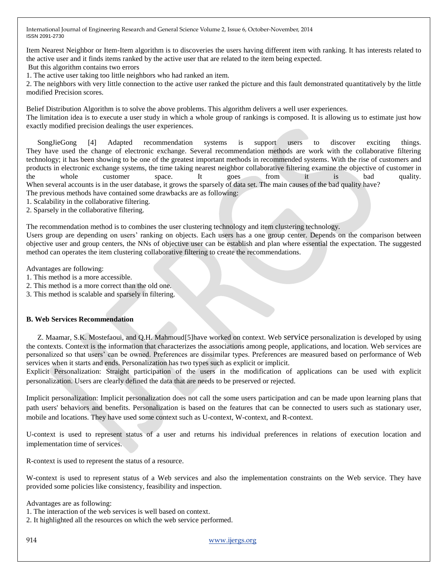Item Nearest Neighbor or Item-Item algorithm is to discoveries the users having different item with ranking. It has interests related to the active user and it finds items ranked by the active user that are related to the item being expected.

But this algorithm contains two errors

1. The active user taking too little neighbors who had ranked an item.

2. The neighbors with very little connection to the active user ranked the picture and this fault demonstrated quantitatively by the little modified Precision scores.

Belief Distribution Algorithm is to solve the above problems. This algorithm delivers a well user experiences.

The limitation idea is to execute a user study in which a whole group of rankings is composed. It is allowing us to estimate just how exactly modified precision dealings the user experiences.

 SongJieGong [4] Adapted recommendation systems is support users to discover exciting things. They have used the change of electronic exchange. Several recommendation methods are work with the collaborative filtering technology; it has been showing to be one of the greatest important methods in recommended systems. With the rise of customers and products in electronic exchange systems, the time taking nearest neighbor collaborative filtering examine the objective of customer in the whole customer space. It goes from it is bad quality. When several accounts is in the user database, it grows the sparsely of data set. The main causes of the bad quality have?

The previous methods have contained some drawbacks are as following:

1. Scalability in the collaborative filtering.

2. Sparsely in the collaborative filtering.

The recommendation method is to combines the user clustering technology and item clustering technology.

Users group are depending on users' ranking on objects. Each users has a one group center. Depends on the comparison between objective user and group centers, the NNs of objective user can be establish and plan where essential the expectation. The suggested method can operates the item clustering collaborative filtering to create the recommendations.

Advantages are following:

- 1. This method is a more accessible.
- 2. This method is a more correct than the old one.
- 3. This method is scalable and sparsely in filtering.

### **B. Web Services Recommendation**

 Z. Maamar, S.K. Mostefaoui, and Q.H. Mahmoud[5]have worked on context. Web service personalization is developed by using the contexts. Context is the information that characterizes the associations among people, applications, and location. Web services are personalized so that users' can be owned. Preferences are dissimilar types. Preferences are measured based on performance of Web services when it starts and ends. Personalization has two types such as explicit or implicit.

Explicit Personalization: Straight participation of the users in the modification of applications can be used with explicit personalization. Users are clearly defined the data that are needs to be preserved or rejected.

Implicit personalization: Implicit personalization does not call the some users participation and can be made upon learning plans that path users' behaviors and benefits. Personalization is based on the features that can be connected to users such as stationary user, mobile and locations. They have used some context such as U-context, W-context, and R-context.

U-context is used to represent status of a user and returns his individual preferences in relations of execution location and implementation time of services.

R-context is used to represent the status of a resource.

W-context is used to represent status of a Web services and also the implementation constraints on the Web service. They have provided some policies like consistency, feasibility and inspection.

Advantages are as following:

1. The interaction of the web services is well based on context.

2. It highlighted all the resources on which the web service performed.

914 www.ijergs.org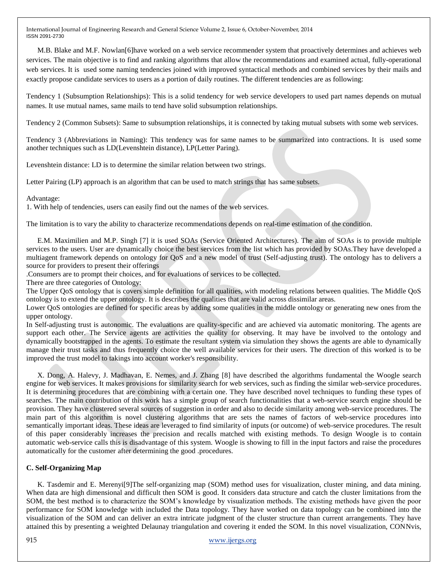M.B. Blake and M.F. Nowlan[6]have worked on a web service recommender system that proactively determines and achieves web services. The main objective is to find and ranking algorithms that allow the recommendations and examined actual, fully-operational web services. It is used some naming tendencies joined with improved syntactical methods and combined services by their mails and exactly propose candidate services to users as a portion of daily routines. The different tendencies are as following:

Tendency 1 (Subsumption Relationships): This is a solid tendency for web service developers to used part names depends on mutual names. It use mutual names, same mails to tend have solid subsumption relationships.

Tendency 2 (Common Subsets): Same to subsumption relationships, it is connected by taking mutual subsets with some web services.

Tendency 3 (Abbreviations in Naming): This tendency was for same names to be summarized into contractions. It is used some another techniques such as LD(Levenshtein distance), LP(Letter Paring).

Levenshtein distance: LD is to determine the similar relation between two strings.

Letter Pairing (LP) approach is an algorithm that can be used to match strings that has same subsets.

### Advantage:

1. With help of tendencies, users can easily find out the names of the web services.

The limitation is to vary the ability to characterize recommendations depends on real-time estimation of the condition.

 E.M. Maximilien and M.P. Singh [7] it is used SOAs (Service Oriented Architectures). The aim of SOAs is to provide multiple services to the users. User are dynamically choice the best services from the list which has provided by SOAs.They have developed a multiagent framework depends on ontology for QoS and a new model of trust (Self-adjusting trust). The ontology has to delivers a source for providers to present their offerings

.Consumers are to prompt their choices, and for evaluations of services to be collected.

There are three categories of Ontology:

The Upper QoS ontology that is covers simple definition for all qualities, with modeling relations between qualities. The Middle QoS ontology is to extend the upper ontology. It is describes the qualities that are valid across dissimilar areas.

Lower QoS ontologies are defined for specific areas by adding some qualities in the middle ontology or generating new ones from the upper ontology.

In Self-adjusting trust is autonomic. The evaluations are quality-specific and are achieved via automatic monitoring. The agents are support each other. The Service agents are activities the quality for observing. It may have be involved to the ontology and dynamically bootstrapped in the agents. To estimate the resultant system via simulation they shows the agents are able to dynamically manage their trust tasks and thus frequently choice the well available services for their users. The direction of this worked is to be improved the trust model to takings into account worker's responsibility.

 X. Dong, A. Halevy, J. Madhavan, E. Nemes, and J. Zhang [8] have described the algorithms fundamental the Woogle search engine for web services. It makes provisions for similarity search for web services, such as finding the similar web-service procedures. It is determining procedures that are combining with a certain one. They have described novel techniques to funding these types of searches. The main contribution of this work has a simple group of search functionalities that a web-service search engine should be provision. They have clustered several sources of suggestion in order and also to decide similarity among web-service procedures. The main part of this algorithm is novel clustering algorithms that are sets the names of factors of web-service procedures into semantically important ideas. These ideas are leveraged to find similarity of inputs (or outcome) of web-service procedures. The result of this paper considerably increases the precision and recalls matched with existing methods. To design Woogle is to contain automatic web-service calls this is disadvantage of this system. Woogle is showing to fill in the input factors and raise the procedures automatically for the customer after determining the good .procedures.

## **C. Self-Organizing Map**

 K. Tasdemir and E. Merenyi[9]The self-organizing map (SOM) method uses for visualization, cluster mining, and data mining. When data are high dimensional and difficult then SOM is good. It considers data structure and catch the cluster limitations from the SOM, the best method is to characterize the SOM's knowledge by visualization methods. The existing methods have given the poor performance for SOM knowledge with included the Data topology. They have worked on data topology can be combined into the visualization of the SOM and can deliver an extra intricate judgment of the cluster structure than current arrangements. They have attained this by presenting a weighted Delaunay triangulation and covering it ended the SOM. In this novel visualization, CONNvis,